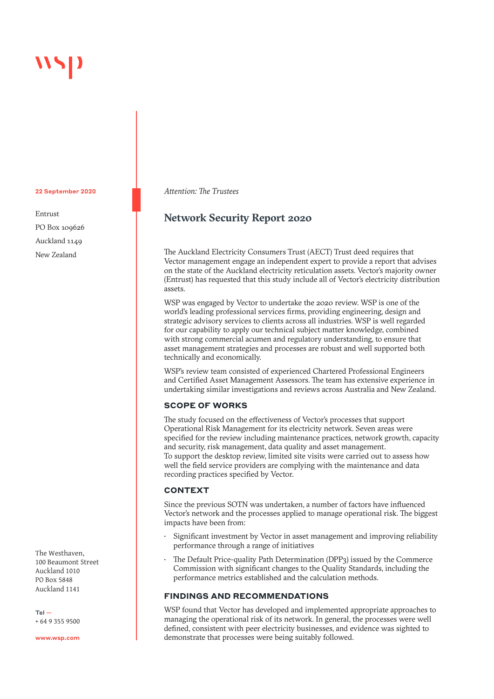#### 22 September 2020

Entrust PO Box 109626 Auckland 1149 New Zealand

The Westhaven, 100 Beaumont Street Auckland 1010 PO Box 5848 Auckland 1141

Tel — + 64 9 355 9500

www.wsp.com

*Attention: The Trustees*

# **Network Security Report 2020**

The Auckland Electricity Consumers Trust (AECT) Trust deed requires that Vector management engage an independent expert to provide a report that advises on the state of the Auckland electricity reticulation assets. Vector's majority owner (Entrust) has requested that this study include all of Vector's electricity distribution assets.

WSP was engaged by Vector to undertake the 2020 review. WSP is one of the world's leading professional services firms, providing engineering, design and strategic advisory services to clients across all industries. WSP is well regarded for our capability to apply our technical subject matter knowledge, combined with strong commercial acumen and regulatory understanding, to ensure that asset management strategies and processes are robust and well supported both technically and economically.

WSP's review team consisted of experienced Chartered Professional Engineers and Certified Asset Management Assessors. The team has extensive experience in undertaking similar investigations and reviews across Australia and New Zealand.

# **SCOPE OF WORKS**

The study focused on the effectiveness of Vector's processes that support Operational Risk Management for its electricity network. Seven areas were specified for the review including maintenance practices, network growth, capacity and security, risk management, data quality and asset management. To support the desktop review, limited site visits were carried out to assess how well the field service providers are complying with the maintenance and data recording practices specified by Vector.

# **CONTEXT**

Since the previous SOTN was undertaken, a number of factors have influenced Vector's network and the processes applied to manage operational risk. The biggest impacts have been from:

- Significant investment by Vector in asset management and improving reliability performance through a range of initiatives
- The Default Price-quality Path Determination (DPP3) issued by the Commerce Commission with significant changes to the Quality Standards, including the performance metrics established and the calculation methods.

## **FINDINGS AND RECOMMENDATIONS**

WSP found that Vector has developed and implemented appropriate approaches to managing the operational risk of its network. In general, the processes were well defined, consistent with peer electricity businesses, and evidence was sighted to demonstrate that processes were being suitably followed.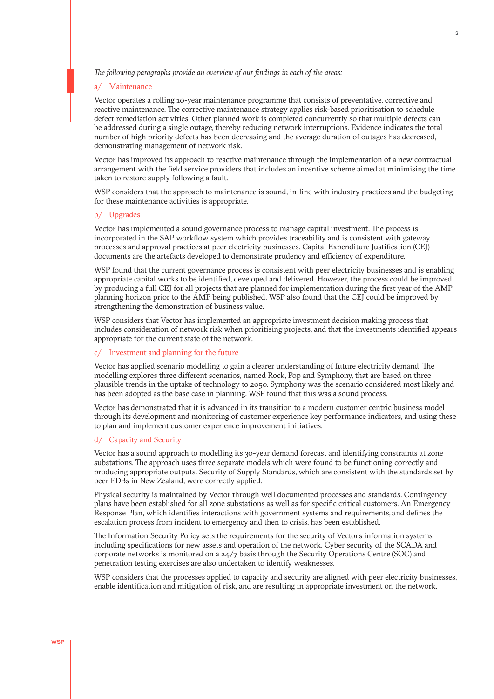*The following paragraphs provide an overview of our findings in each of the areas:*

#### a/ Maintenance

Vector operates a rolling 10-year maintenance programme that consists of preventative, corrective and reactive maintenance. The corrective maintenance strategy applies risk-based prioritisation to schedule defect remediation activities. Other planned work is completed concurrently so that multiple defects can be addressed during a single outage, thereby reducing network interruptions. Evidence indicates the total number of high priority defects has been decreasing and the average duration of outages has decreased, demonstrating management of network risk.

Vector has improved its approach to reactive maintenance through the implementation of a new contractual arrangement with the field service providers that includes an incentive scheme aimed at minimising the time taken to restore supply following a fault.

WSP considers that the approach to maintenance is sound, in-line with industry practices and the budgeting for these maintenance activities is appropriate.

#### b/ Upgrades

Vector has implemented a sound governance process to manage capital investment. The process is incorporated in the SAP workflow system which provides traceability and is consistent with gateway processes and approval practices at peer electricity businesses. Capital Expenditure Justification (CEJ) documents are the artefacts developed to demonstrate prudency and efficiency of expenditure.

WSP found that the current governance process is consistent with peer electricity businesses and is enabling appropriate capital works to be identified, developed and delivered. However, the process could be improved by producing a full CEJ for all projects that are planned for implementation during the first year of the AMP planning horizon prior to the AMP being published. WSP also found that the CEJ could be improved by strengthening the demonstration of business value.

WSP considers that Vector has implemented an appropriate investment decision making process that includes consideration of network risk when prioritising projects, and that the investments identified appears appropriate for the current state of the network.

#### c/ Investment and planning for the future

Vector has applied scenario modelling to gain a clearer understanding of future electricity demand. The modelling explores three different scenarios, named Rock, Pop and Symphony, that are based on three plausible trends in the uptake of technology to 2050. Symphony was the scenario considered most likely and has been adopted as the base case in planning. WSP found that this was a sound process.

Vector has demonstrated that it is advanced in its transition to a modern customer centric business model through its development and monitoring of customer experience key performance indicators, and using these to plan and implement customer experience improvement initiatives.

#### d/ Capacity and Security

Vector has a sound approach to modelling its 30-year demand forecast and identifying constraints at zone substations. The approach uses three separate models which were found to be functioning correctly and producing appropriate outputs. Security of Supply Standards, which are consistent with the standards set by peer EDBs in New Zealand, were correctly applied.

Physical security is maintained by Vector through well documented processes and standards. Contingency plans have been established for all zone substations as well as for specific critical customers. An Emergency Response Plan, which identifies interactions with government systems and requirements, and defines the escalation process from incident to emergency and then to crisis, has been established.

The Information Security Policy sets the requirements for the security of Vector's information systems including specifications for new assets and operation of the network. Cyber security of the SCADA and corporate networks is monitored on a 24/7 basis through the Security Operations Centre (SOC) and penetration testing exercises are also undertaken to identify weaknesses.

WSP considers that the processes applied to capacity and security are aligned with peer electricity businesses, enable identification and mitigation of risk, and are resulting in appropriate investment on the network.